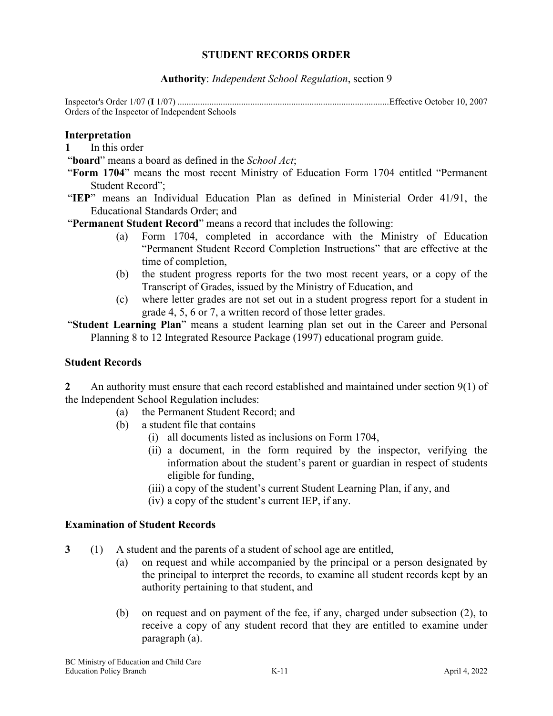## **STUDENT RECORDS ORDER**

**Authority**: *Independent School Regulation*, section 9

Inspector's Order 1/07 (**I** 1/07) .............................................................................................Effective October 10, 2007 Orders of the Inspector of Independent Schools

#### **Interpretation**

- **1** In this order
- "**board**" means a board as defined in the *School Act*;
- "**Form 1704**" means the most recent Ministry of Education Form 1704 entitled "Permanent Student Record";
- "**IEP**" means an Individual Education Plan as defined in Ministerial Order 41/91, the Educational Standards Order; and

"**Permanent Student Record**" means a record that includes the following:

- (a) Form 1704, completed in accordance with the Ministry of Education "Permanent Student Record Completion Instructions" that are effective at the time of completion,
- (b) the student progress reports for the two most recent years, or a copy of the Transcript of Grades, issued by the Ministry of Education, and
- (c) where letter grades are not set out in a student progress report for a student in grade 4, 5, 6 or 7, a written record of those letter grades.

"**Student Learning Plan**" means a student learning plan set out in the Career and Personal Planning 8 to 12 Integrated Resource Package (1997) educational program guide.

### **Student Records**

**2** An authority must ensure that each record established and maintained under section 9(1) of the Independent School Regulation includes:

- (a) the Permanent Student Record; and
- (b) a student file that contains
	- (i) all documents listed as inclusions on Form 1704,
	- (ii) a document, in the form required by the inspector, verifying the information about the student's parent or guardian in respect of students eligible for funding,
	- (iii) a copy of the student's current Student Learning Plan, if any, and
	- (iv) a copy of the student's current IEP, if any.

### **Examination of Student Records**

- **3** (1) A student and the parents of a student of school age are entitled,
	- (a) on request and while accompanied by the principal or a person designated by the principal to interpret the records, to examine all student records kept by an authority pertaining to that student, and
	- (b) on request and on payment of the fee, if any, charged under subsection (2), to receive a copy of any student record that they are entitled to examine under paragraph (a).